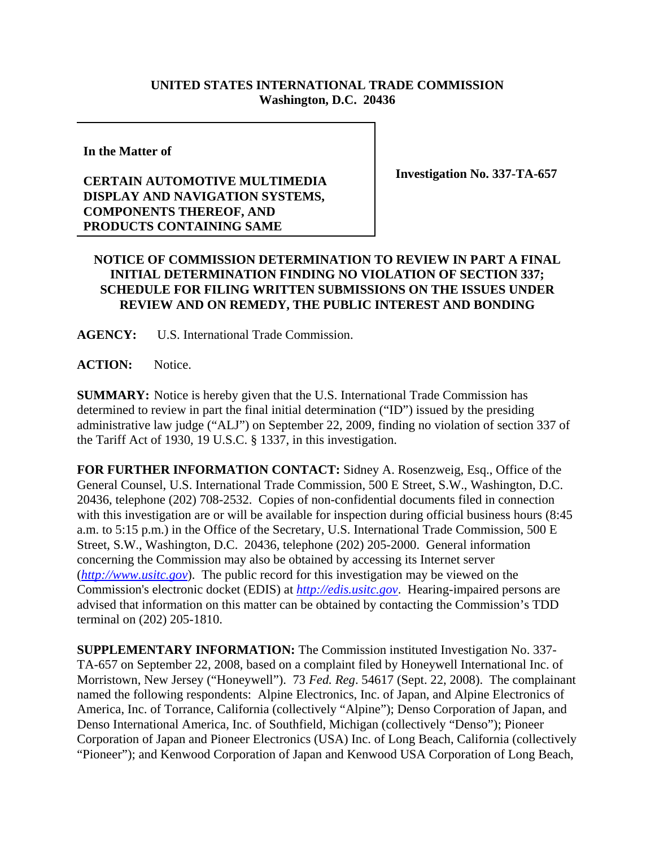## **UNITED STATES INTERNATIONAL TRADE COMMISSION Washington, D.C. 20436**

**In the Matter of**

## **CERTAIN AUTOMOTIVE MULTIMEDIA DISPLAY AND NAVIGATION SYSTEMS, COMPONENTS THEREOF, AND PRODUCTS CONTAINING SAME**

**Investigation No. 337-TA-657**

## **NOTICE OF COMMISSION DETERMINATION TO REVIEW IN PART A FINAL INITIAL DETERMINATION FINDING NO VIOLATION OF SECTION 337; SCHEDULE FOR FILING WRITTEN SUBMISSIONS ON THE ISSUES UNDER REVIEW AND ON REMEDY, THE PUBLIC INTEREST AND BONDING**

**AGENCY:** U.S. International Trade Commission.

**ACTION:** Notice.

**SUMMARY:** Notice is hereby given that the U.S. International Trade Commission has determined to review in part the final initial determination ("ID") issued by the presiding administrative law judge ("ALJ") on September 22, 2009, finding no violation of section 337 of the Tariff Act of 1930, 19 U.S.C. § 1337, in this investigation.

**FOR FURTHER INFORMATION CONTACT:** Sidney A. Rosenzweig, Esq., Office of the General Counsel, U.S. International Trade Commission, 500 E Street, S.W., Washington, D.C. 20436, telephone (202) 708-2532. Copies of non-confidential documents filed in connection with this investigation are or will be available for inspection during official business hours (8:45 a.m. to 5:15 p.m.) in the Office of the Secretary, U.S. International Trade Commission, 500 E Street, S.W., Washington, D.C. 20436, telephone (202) 205-2000. General information concerning the Commission may also be obtained by accessing its Internet server (*http://www.usitc.gov*). The public record for this investigation may be viewed on the Commission's electronic docket (EDIS) at *http://edis.usitc.gov*. Hearing-impaired persons are advised that information on this matter can be obtained by contacting the Commission's TDD terminal on (202) 205-1810.

**SUPPLEMENTARY INFORMATION:** The Commission instituted Investigation No. 337- TA-657 on September 22, 2008, based on a complaint filed by Honeywell International Inc. of Morristown, New Jersey ("Honeywell"). 73 *Fed. Reg*. 54617 (Sept. 22, 2008). The complainant named the following respondents: Alpine Electronics, Inc. of Japan, and Alpine Electronics of America, Inc. of Torrance, California (collectively "Alpine"); Denso Corporation of Japan, and Denso International America, Inc. of Southfield, Michigan (collectively "Denso"); Pioneer Corporation of Japan and Pioneer Electronics (USA) Inc. of Long Beach, California (collectively "Pioneer"); and Kenwood Corporation of Japan and Kenwood USA Corporation of Long Beach,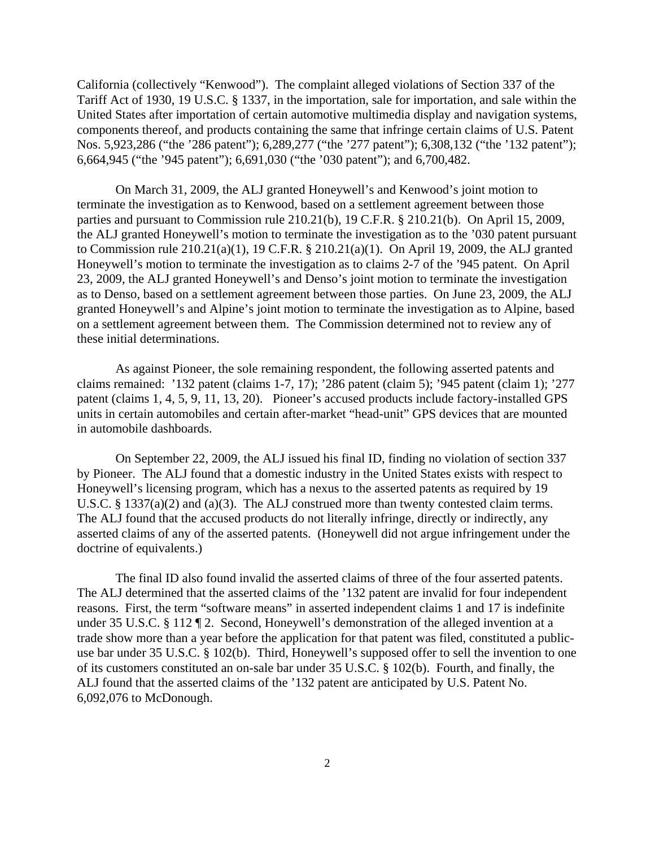California (collectively "Kenwood"). The complaint alleged violations of Section 337 of the Tariff Act of 1930, 19 U.S.C. § 1337, in the importation, sale for importation, and sale within the United States after importation of certain automotive multimedia display and navigation systems, components thereof, and products containing the same that infringe certain claims of U.S. Patent Nos. 5,923,286 ("the '286 patent"); 6,289,277 ("the '277 patent"); 6,308,132 ("the '132 patent"); 6,664,945 ("the '945 patent"); 6,691,030 ("the '030 patent"); and 6,700,482.

On March 31, 2009, the ALJ granted Honeywell's and Kenwood's joint motion to terminate the investigation as to Kenwood, based on a settlement agreement between those parties and pursuant to Commission rule 210.21(b), 19 C.F.R. § 210.21(b). On April 15, 2009, the ALJ granted Honeywell's motion to terminate the investigation as to the '030 patent pursuant to Commission rule 210.21(a)(1), 19 C.F.R. § 210.21(a)(1). On April 19, 2009, the ALJ granted Honeywell's motion to terminate the investigation as to claims 2-7 of the '945 patent. On April 23, 2009, the ALJ granted Honeywell's and Denso's joint motion to terminate the investigation as to Denso, based on a settlement agreement between those parties. On June 23, 2009, the ALJ granted Honeywell's and Alpine's joint motion to terminate the investigation as to Alpine, based on a settlement agreement between them. The Commission determined not to review any of these initial determinations.

As against Pioneer, the sole remaining respondent, the following asserted patents and claims remained: '132 patent (claims 1-7, 17); '286 patent (claim 5); '945 patent (claim 1); '277 patent (claims 1, 4, 5, 9, 11, 13, 20). Pioneer's accused products include factory-installed GPS units in certain automobiles and certain after-market "head-unit" GPS devices that are mounted in automobile dashboards.

On September 22, 2009, the ALJ issued his final ID, finding no violation of section 337 by Pioneer. The ALJ found that a domestic industry in the United States exists with respect to Honeywell's licensing program, which has a nexus to the asserted patents as required by 19 U.S.C. § 1337(a)(2) and (a)(3). The ALJ construed more than twenty contested claim terms. The ALJ found that the accused products do not literally infringe, directly or indirectly, any asserted claims of any of the asserted patents. (Honeywell did not argue infringement under the doctrine of equivalents.)

The final ID also found invalid the asserted claims of three of the four asserted patents. The ALJ determined that the asserted claims of the '132 patent are invalid for four independent reasons. First, the term "software means" in asserted independent claims 1 and 17 is indefinite under 35 U.S.C. § 112 ¶ 2. Second, Honeywell's demonstration of the alleged invention at a trade show more than a year before the application for that patent was filed, constituted a publicuse bar under 35 U.S.C. § 102(b). Third, Honeywell's supposed offer to sell the invention to one of its customers constituted an on-sale bar under 35 U.S.C. § 102(b). Fourth, and finally, the ALJ found that the asserted claims of the '132 patent are anticipated by U.S. Patent No. 6,092,076 to McDonough.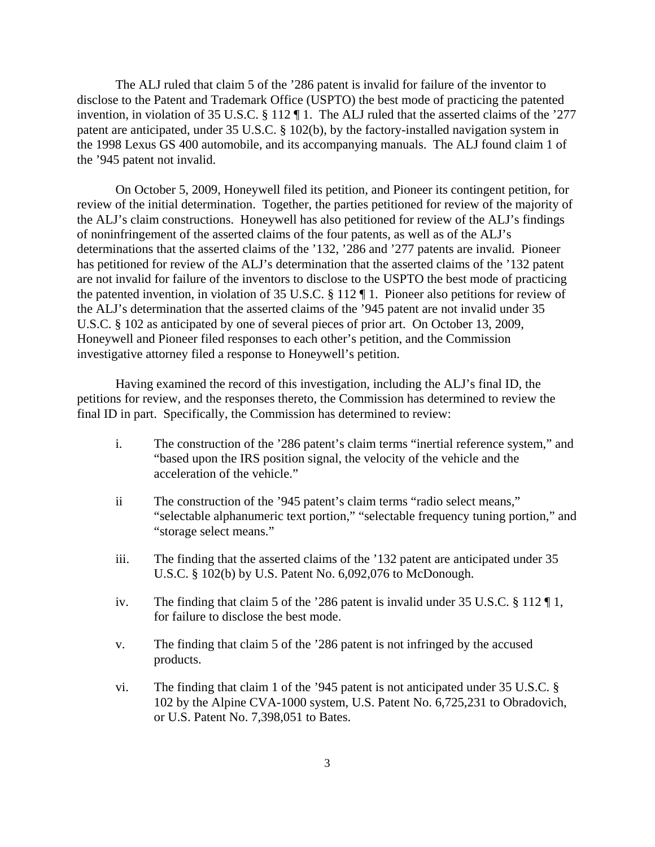The ALJ ruled that claim 5 of the '286 patent is invalid for failure of the inventor to disclose to the Patent and Trademark Office (USPTO) the best mode of practicing the patented invention, in violation of 35 U.S.C. § 112 ¶ 1. The ALJ ruled that the asserted claims of the '277 patent are anticipated, under 35 U.S.C. § 102(b), by the factory-installed navigation system in the 1998 Lexus GS 400 automobile, and its accompanying manuals. The ALJ found claim 1 of the '945 patent not invalid.

On October 5, 2009, Honeywell filed its petition, and Pioneer its contingent petition, for review of the initial determination. Together, the parties petitioned for review of the majority of the ALJ's claim constructions. Honeywell has also petitioned for review of the ALJ's findings of noninfringement of the asserted claims of the four patents, as well as of the ALJ's determinations that the asserted claims of the '132, '286 and '277 patents are invalid. Pioneer has petitioned for review of the ALJ's determination that the asserted claims of the '132 patent are not invalid for failure of the inventors to disclose to the USPTO the best mode of practicing the patented invention, in violation of 35 U.S.C. § 112 ¶ 1. Pioneer also petitions for review of the ALJ's determination that the asserted claims of the '945 patent are not invalid under 35 U.S.C. § 102 as anticipated by one of several pieces of prior art. On October 13, 2009, Honeywell and Pioneer filed responses to each other's petition, and the Commission investigative attorney filed a response to Honeywell's petition.

Having examined the record of this investigation, including the ALJ's final ID, the petitions for review, and the responses thereto, the Commission has determined to review the final ID in part. Specifically, the Commission has determined to review:

- i. The construction of the '286 patent's claim terms "inertial reference system," and "based upon the IRS position signal, the velocity of the vehicle and the acceleration of the vehicle."
- ii The construction of the '945 patent's claim terms "radio select means," "selectable alphanumeric text portion," "selectable frequency tuning portion," and "storage select means."
- iii. The finding that the asserted claims of the '132 patent are anticipated under 35 U.S.C. § 102(b) by U.S. Patent No. 6,092,076 to McDonough.
- iv. The finding that claim 5 of the '286 patent is invalid under 35 U.S.C. § 112 ¶ 1, for failure to disclose the best mode.
- v. The finding that claim 5 of the '286 patent is not infringed by the accused products.
- vi. The finding that claim 1 of the '945 patent is not anticipated under 35 U.S.C. § 102 by the Alpine CVA-1000 system, U.S. Patent No. 6,725,231 to Obradovich, or U.S. Patent No. 7,398,051 to Bates.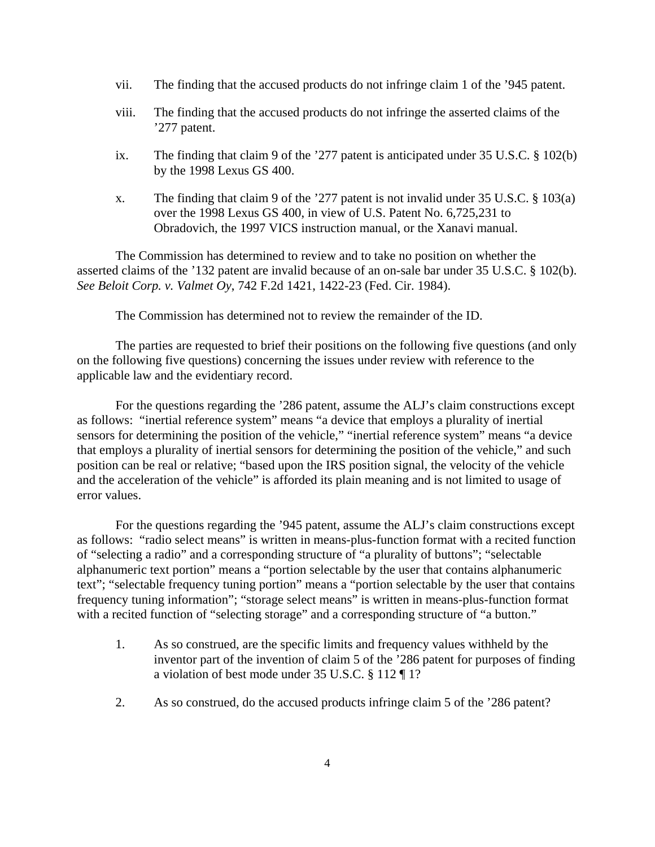- vii. The finding that the accused products do not infringe claim 1 of the '945 patent.
- viii. The finding that the accused products do not infringe the asserted claims of the '277 patent.
- ix. The finding that claim 9 of the '277 patent is anticipated under 35 U.S.C. § 102(b) by the 1998 Lexus GS 400.
- x. The finding that claim 9 of the '277 patent is not invalid under 35 U.S.C. § 103(a) over the 1998 Lexus GS 400, in view of U.S. Patent No. 6,725,231 to Obradovich, the 1997 VICS instruction manual, or the Xanavi manual.

The Commission has determined to review and to take no position on whether the asserted claims of the '132 patent are invalid because of an on-sale bar under 35 U.S.C. § 102(b). *See Beloit Corp. v. Valmet Oy*, 742 F.2d 1421, 1422-23 (Fed. Cir. 1984).

The Commission has determined not to review the remainder of the ID.

The parties are requested to brief their positions on the following five questions (and only on the following five questions) concerning the issues under review with reference to the applicable law and the evidentiary record.

For the questions regarding the '286 patent, assume the ALJ's claim constructions except as follows: "inertial reference system" means "a device that employs a plurality of inertial sensors for determining the position of the vehicle," "inertial reference system" means "a device that employs a plurality of inertial sensors for determining the position of the vehicle," and such position can be real or relative; "based upon the IRS position signal, the velocity of the vehicle and the acceleration of the vehicle" is afforded its plain meaning and is not limited to usage of error values.

For the questions regarding the '945 patent, assume the ALJ's claim constructions except as follows: "radio select means" is written in means-plus-function format with a recited function of "selecting a radio" and a corresponding structure of "a plurality of buttons"; "selectable alphanumeric text portion" means a "portion selectable by the user that contains alphanumeric text"; "selectable frequency tuning portion" means a "portion selectable by the user that contains frequency tuning information"; "storage select means" is written in means-plus-function format with a recited function of "selecting storage" and a corresponding structure of "a button."

- 1. As so construed, are the specific limits and frequency values withheld by the inventor part of the invention of claim 5 of the '286 patent for purposes of finding a violation of best mode under 35 U.S.C. § 112 ¶ 1?
- 2. As so construed, do the accused products infringe claim 5 of the '286 patent?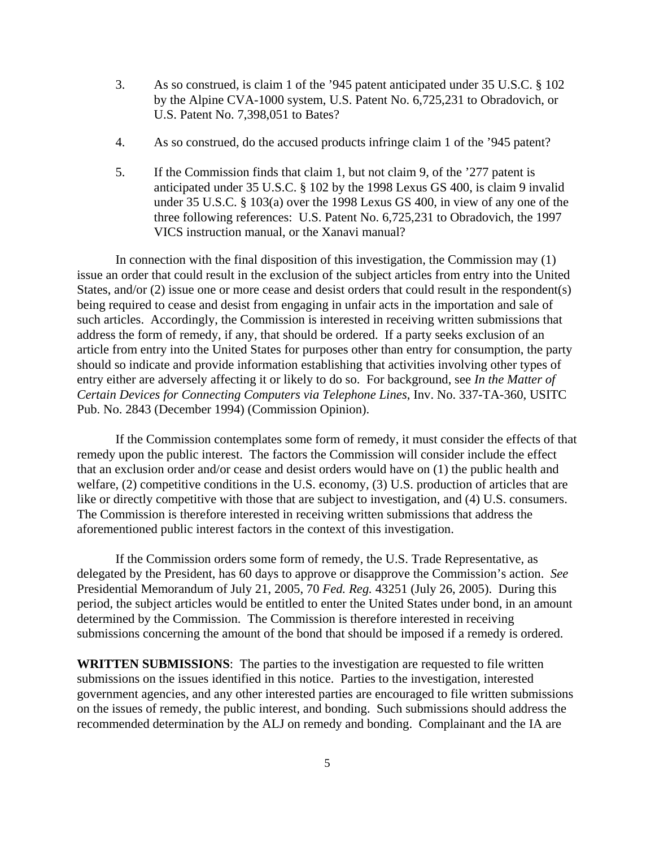- 3. As so construed, is claim 1 of the '945 patent anticipated under 35 U.S.C. § 102 by the Alpine CVA-1000 system, U.S. Patent No. 6,725,231 to Obradovich, or U.S. Patent No. 7,398,051 to Bates?
- 4. As so construed, do the accused products infringe claim 1 of the '945 patent?
- 5. If the Commission finds that claim 1, but not claim 9, of the '277 patent is anticipated under 35 U.S.C. § 102 by the 1998 Lexus GS 400, is claim 9 invalid under 35 U.S.C. § 103(a) over the 1998 Lexus GS 400, in view of any one of the three following references: U.S. Patent No. 6,725,231 to Obradovich, the 1997 VICS instruction manual, or the Xanavi manual?

In connection with the final disposition of this investigation, the Commission may (1) issue an order that could result in the exclusion of the subject articles from entry into the United States, and/or (2) issue one or more cease and desist orders that could result in the respondent(s) being required to cease and desist from engaging in unfair acts in the importation and sale of such articles. Accordingly, the Commission is interested in receiving written submissions that address the form of remedy, if any, that should be ordered. If a party seeks exclusion of an article from entry into the United States for purposes other than entry for consumption, the party should so indicate and provide information establishing that activities involving other types of entry either are adversely affecting it or likely to do so. For background, see *In the Matter of Certain Devices for Connecting Computers via Telephone Lines*, Inv. No. 337-TA-360, USITC Pub. No. 2843 (December 1994) (Commission Opinion).

If the Commission contemplates some form of remedy, it must consider the effects of that remedy upon the public interest. The factors the Commission will consider include the effect that an exclusion order and/or cease and desist orders would have on (1) the public health and welfare, (2) competitive conditions in the U.S. economy, (3) U.S. production of articles that are like or directly competitive with those that are subject to investigation, and (4) U.S. consumers. The Commission is therefore interested in receiving written submissions that address the aforementioned public interest factors in the context of this investigation.

If the Commission orders some form of remedy, the U.S. Trade Representative, as delegated by the President, has 60 days to approve or disapprove the Commission's action. *See* Presidential Memorandum of July 21, 2005, 70 *Fed. Reg.* 43251 (July 26, 2005). During this period, the subject articles would be entitled to enter the United States under bond, in an amount determined by the Commission. The Commission is therefore interested in receiving submissions concerning the amount of the bond that should be imposed if a remedy is ordered.

**WRITTEN SUBMISSIONS**:The parties to the investigation are requested to file written submissions on the issues identified in this notice. Parties to the investigation, interested government agencies, and any other interested parties are encouraged to file written submissions on the issues of remedy, the public interest, and bonding. Such submissions should address the recommended determination by the ALJ on remedy and bonding. Complainant and the IA are